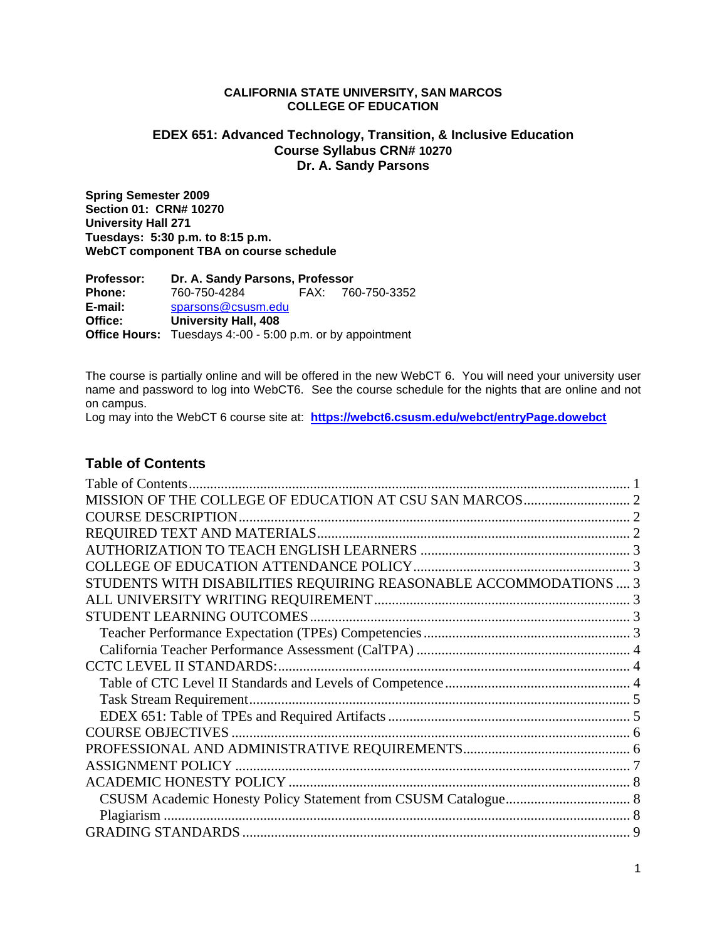#### **CALIFORNIA STATE UNIVERSITY, SAN MARCOS COLLEGE OF EDUCATION**

# **EDEX 651: Advanced Technology, Transition, & Inclusive Education Course Syllabus CRN# 10270 Dr. A. Sandy Parsons**

**Spring Semester 2009 Section 01: CRN# 10270 University Hall 271 Tuesdays: 5:30 p.m. to 8:15 p.m. WebCT component TBA on course schedule** 

 **Phone:** 760-750-4284 FAX: 760-750-3352  **E-mail:** sparsons@csusm.edu **Office Hours:** Tuesdays 4:-00 - 5:00 p.m. or by appointment **Professor: Dr. A. Sandy Parsons, Professor Office: University Hall, 408** 

The course is partially online and will be offered in the new WebCT 6. You will need your university user name and password to log into WebCT6. See the course schedule for the nights that are online and not on campus.

 Log may into the WebCT 6 course site at: **https://webct6.csusm.edu/webct/entryPage.dowebct** 

# **Table of Contents**

| Table of Contents.                                                |  |
|-------------------------------------------------------------------|--|
|                                                                   |  |
|                                                                   |  |
|                                                                   |  |
|                                                                   |  |
|                                                                   |  |
| STUDENTS WITH DISABILITIES REQUIRING REASONABLE ACCOMMODATIONS  3 |  |
|                                                                   |  |
|                                                                   |  |
|                                                                   |  |
|                                                                   |  |
|                                                                   |  |
|                                                                   |  |
|                                                                   |  |
|                                                                   |  |
|                                                                   |  |
|                                                                   |  |
|                                                                   |  |
|                                                                   |  |
|                                                                   |  |
|                                                                   |  |
|                                                                   |  |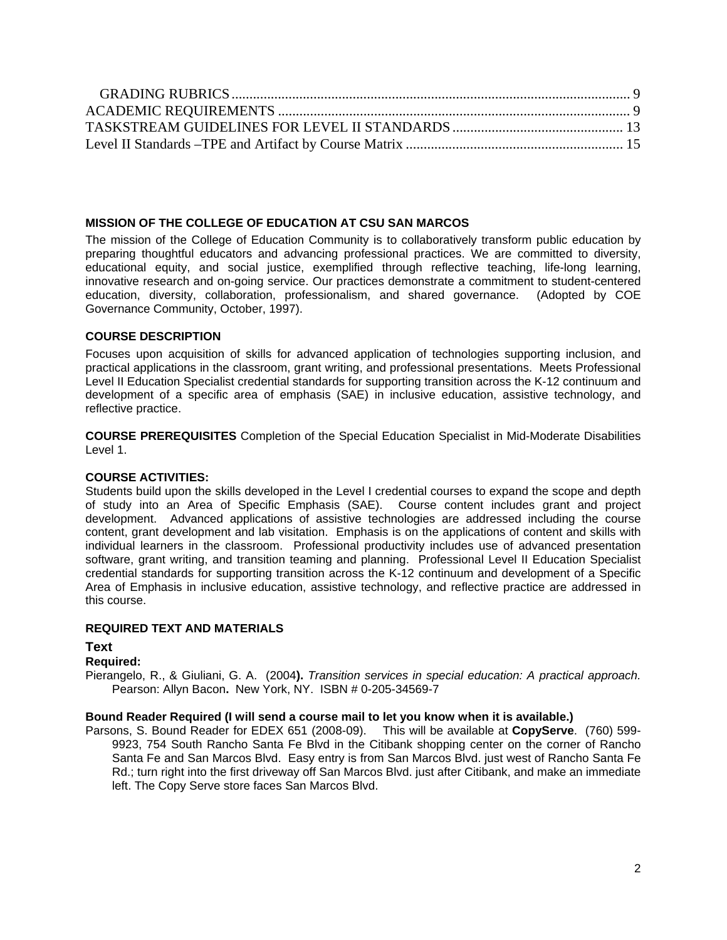# **MISSION OF THE COLLEGE OF EDUCATION AT CSU SAN MARCOS**

The mission of the College of Education Community is to collaboratively transform public education by preparing thoughtful educators and advancing professional practices. We are committed to diversity, educational equity, and social justice, exemplified through reflective teaching, life-long learning, innovative research and on-going service. Our practices demonstrate a commitment to student-centered education, diversity, collaboration, professionalism, and shared governance. (Adopted by COE Governance Community, October, 1997).

# **COURSE DESCRIPTION**

Focuses upon acquisition of skills for advanced application of technologies supporting inclusion, and practical applications in the classroom, grant writing, and professional presentations. Meets Professional Level II Education Specialist credential standards for supporting transition across the K-12 continuum and development of a specific area of emphasis (SAE) in inclusive education, assistive technology, and reflective practice.

**COURSE PREREQUISITES** Completion of the Special Education Specialist in Mid-Moderate Disabilities Level 1.

# **COURSE ACTIVITIES:**

Students build upon the skills developed in the Level I credential courses to expand the scope and depth of study into an Area of Specific Emphasis (SAE). Course content includes grant and project development. Advanced applications of assistive technologies are addressed including the course content, grant development and lab visitation. Emphasis is on the applications of content and skills with individual learners in the classroom. Professional productivity includes use of advanced presentation software, grant writing, and transition teaming and planning. Professional Level II Education Specialist credential standards for supporting transition across the K-12 continuum and development of a Specific Area of Emphasis in inclusive education, assistive technology, and reflective practice are addressed in this course.

# **REQUIRED TEXT AND MATERIALS**

# **Text**

# **Required:**

Pierangelo, R., & Giuliani, G. A. (2004**).** *Transition services in special education: A practical approach.*  Pearson: Allyn Bacon**.** New York, NY. ISBN # 0-205-34569-7

# **Bound Reader Required (I will send a course mail to let you know when it is available.)**

 Parsons, S. Bound Reader for EDEX 651 (2008-09). This will be available at **CopyServe**. (760) 599- 9923, 754 South Rancho Santa Fe Blvd in the Citibank shopping center on the corner of Rancho Santa Fe and San Marcos Blvd. Easy entry is from San Marcos Blvd. just west of Rancho Santa Fe Rd.; turn right into the first driveway off San Marcos Blvd. just after Citibank, and make an immediate left. The Copy Serve store faces San Marcos Blvd.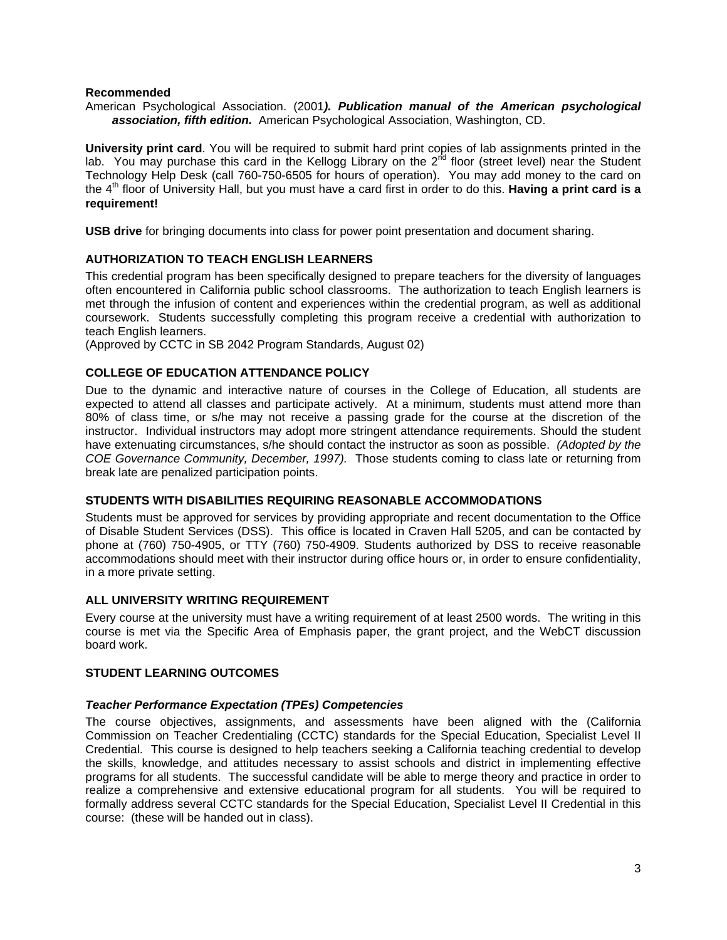#### **Recommended**

 *association, fifth edition.* American Psychological Association, Washington, CD. American Psychological Association. (2001*). Publication manual of the American psychological* 

**University print card**. You will be required to submit hard print copies of lab assignments printed in the lab. You may purchase this card in the Kellogg Library on the 2<sup>nd</sup> floor (street level) near the Student Technology Help Desk (call 760-750-6505 for hours of operation). You may add money to the card on the 4th floor of University Hall, but you must have a card first in order to do this. **Having a print card is a requirement!** 

**USB drive** for bringing documents into class for power point presentation and document sharing.

#### **AUTHORIZATION TO TEACH ENGLISH LEARNERS**

 often encountered in California public school classrooms. The authorization to teach English learners is This credential program has been specifically designed to prepare teachers for the diversity of languages met through the infusion of content and experiences within the credential program, as well as additional coursework. Students successfully completing this program receive a credential with authorization to teach English learners.

(Approved by CCTC in SB 2042 Program Standards, August 02)

# **COLLEGE OF EDUCATION ATTENDANCE POLICY**

 *COE Governance Community, December, 1997).* Those students coming to class late or returning from Due to the dynamic and interactive nature of courses in the College of Education, all students are expected to attend all classes and participate actively. At a minimum, students must attend more than 80% of class time, or s/he may not receive a passing grade for the course at the discretion of the instructor. Individual instructors may adopt more stringent attendance requirements. Should the student have extenuating circumstances, s/he should contact the instructor as soon as possible. *(Adopted by the*  break late are penalized participation points.

#### **STUDENTS WITH DISABILITIES REQUIRING REASONABLE ACCOMMODATIONS**

Students must be approved for services by providing appropriate and recent documentation to the Office of Disable Student Services (DSS). This office is located in Craven Hall 5205, and can be contacted by phone at (760) 750-4905, or TTY (760) 750-4909. Students authorized by DSS to receive reasonable accommodations should meet with their instructor during office hours or, in order to ensure confidentiality, in a more private setting.

### **ALL UNIVERSITY WRITING REQUIREMENT**

Every course at the university must have a writing requirement of at least 2500 words. The writing in this course is met via the Specific Area of Emphasis paper, the grant project, and the WebCT discussion board work.

# **STUDENT LEARNING OUTCOMES**

#### *Teacher Performance Expectation (TPEs) Competencies*

The course objectives, assignments, and assessments have been aligned with the (California Commission on Teacher Credentialing (CCTC) standards for the Special Education, Specialist Level II Credential. This course is designed to help teachers seeking a California teaching credential to develop the skills, knowledge, and attitudes necessary to assist schools and district in implementing effective programs for all students. The successful candidate will be able to merge theory and practice in order to realize a comprehensive and extensive educational program for all students. You will be required to formally address several CCTC standards for the Special Education, Specialist Level II Credential in this course: (these will be handed out in class).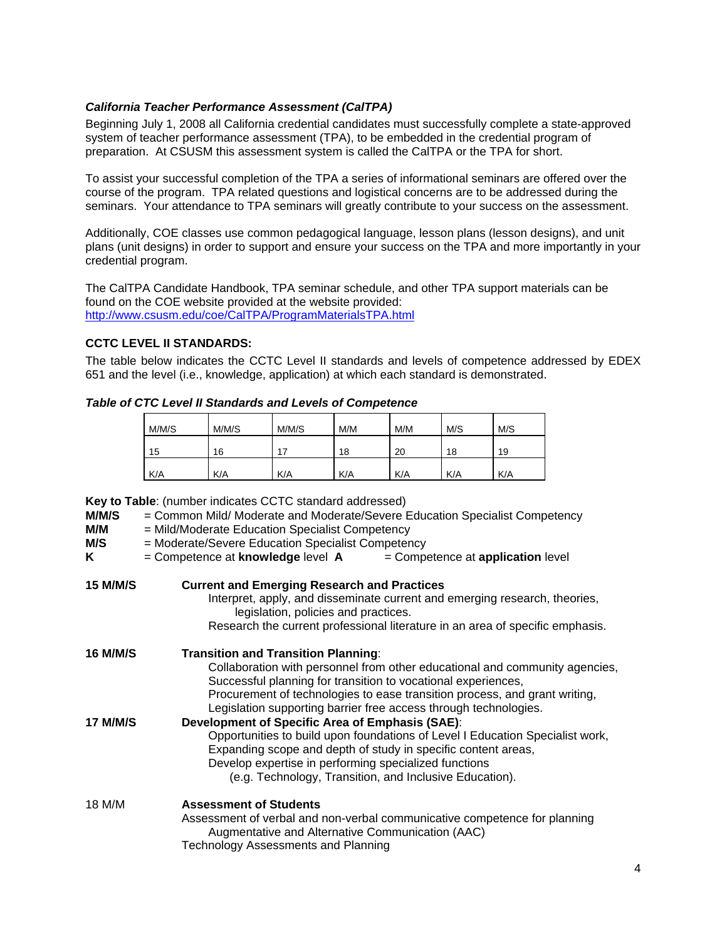# *California Teacher Performance Assessment (CalTPA)*

Beginning July 1, 2008 all California credential candidates must successfully complete a state-approved system of teacher performance assessment (TPA), to be embedded in the credential program of preparation. At CSUSM this assessment system is called the CalTPA or the TPA for short.

To assist your successful completion of the TPA a series of informational seminars are offered over the course of the program. TPA related questions and logistical concerns are to be addressed during the seminars. Your attendance to TPA seminars will greatly contribute to your success on the assessment.

Additionally, COE classes use common pedagogical language, lesson plans (lesson designs), and unit plans (unit designs) in order to support and ensure your success on the TPA and more importantly in your credential program.

 http://www.csusm.edu/coe/CalTPA/ProgramMaterialsTPA.html The CalTPA Candidate Handbook, TPA seminar schedule, and other TPA support materials can be found on the COE website provided at the website provided:

# **CCTC LEVEL II STANDARDS:**

The table below indicates the CCTC Level II standards and levels of competence addressed by EDEX 651 and the level (i.e., knowledge, application) at which each standard is demonstrated.

#### *Table of CTC Level II Standards and Levels of Competence*

| M/M/S | M/M/S | M/M/S |     | M/M<br>M/M |     | M/S |
|-------|-------|-------|-----|------------|-----|-----|
| 15    | 16    | 17    | 18  | 20         | 18  | 19  |
| K/A   | K/A   | K/A   | K/A | K/A        | K/A | K/A |

**Key to Table**: (number indicates CCTC standard addressed)

| M/M/S<br>M/M<br>M/S | = Common Mild/ Moderate and Moderate/Severe Education Specialist Competency<br>= Mild/Moderate Education Specialist Competency<br>= Moderate/Severe Education Specialist Competency                                                                                                                                                          |  |  |  |  |
|---------------------|----------------------------------------------------------------------------------------------------------------------------------------------------------------------------------------------------------------------------------------------------------------------------------------------------------------------------------------------|--|--|--|--|
| Κ                   | $=$ Competence at <b>knowledge</b> level $\bm{A}$<br>$=$ Competence at <b>application</b> level                                                                                                                                                                                                                                              |  |  |  |  |
| <b>15 M/M/S</b>     | <b>Current and Emerging Research and Practices</b><br>Interpret, apply, and disseminate current and emerging research, theories,<br>legislation, policies and practices.<br>Research the current professional literature in an area of specific emphasis.                                                                                    |  |  |  |  |
| <b>16 M/M/S</b>     | <b>Transition and Transition Planning:</b><br>Collaboration with personnel from other educational and community agencies,<br>Successful planning for transition to vocational experiences,<br>Procurement of technologies to ease transition process, and grant writing,<br>Legislation supporting barrier free access through technologies. |  |  |  |  |
| <b>17 M/M/S</b>     | Development of Specific Area of Emphasis (SAE):<br>Opportunities to build upon foundations of Level I Education Specialist work,<br>Expanding scope and depth of study in specific content areas,<br>Develop expertise in performing specialized functions<br>(e.g. Technology, Transition, and Inclusive Education).                        |  |  |  |  |
| 18 M/M              | <b>Assessment of Students</b><br>Assessment of verbal and non-verbal communicative competence for planning<br>Augmentative and Alternative Communication (AAC)<br>Technology Assessments and Planning                                                                                                                                        |  |  |  |  |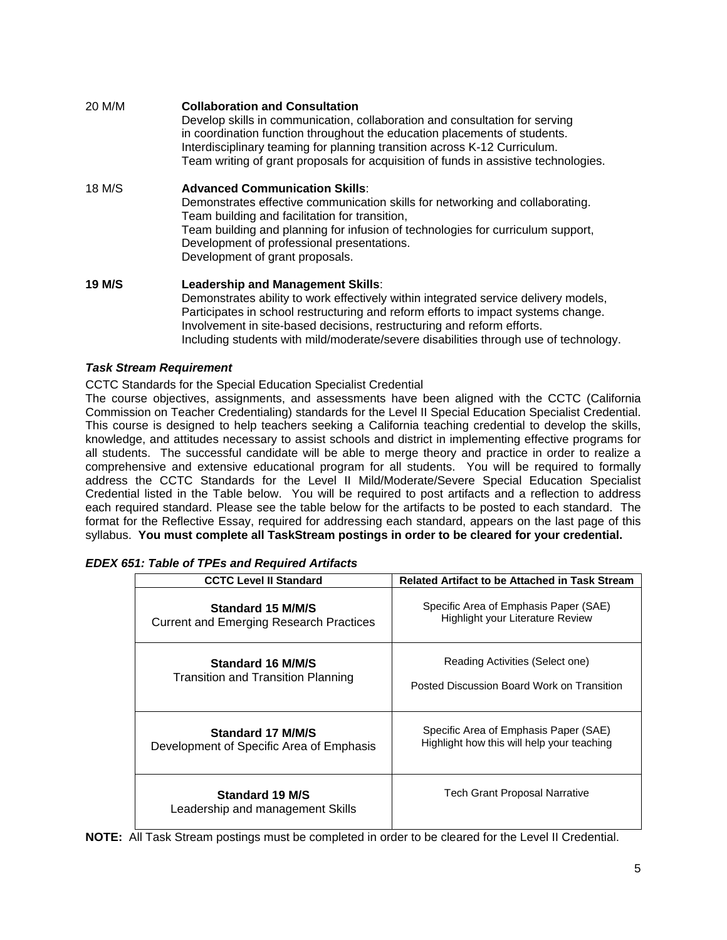| 20 M/M        | <b>Collaboration and Consultation</b><br>Develop skills in communication, collaboration and consultation for serving<br>in coordination function throughout the education placements of students.<br>Interdisciplinary teaming for planning transition across K-12 Curriculum.<br>Team writing of grant proposals for acquisition of funds in assistive technologies. |
|---------------|-----------------------------------------------------------------------------------------------------------------------------------------------------------------------------------------------------------------------------------------------------------------------------------------------------------------------------------------------------------------------|
| 18 M/S        | <b>Advanced Communication Skills:</b><br>Demonstrates effective communication skills for networking and collaborating.<br>Team building and facilitation for transition,<br>Team building and planning for infusion of technologies for curriculum support,<br>Development of professional presentations.<br>Development of grant proposals.                          |
| <b>19 M/S</b> | <b>Leadership and Management Skills:</b><br>Demonstrates ability to work effectively within integrated service delivery models,<br>Participates in school restructuring and reform efforts to impact systems change.                                                                                                                                                  |

# *Task Stream Requirement*

CCTC Standards for the Special Education Specialist Credential

The course objectives, assignments, and assessments have been aligned with the CCTC (California Commission on Teacher Credentialing) standards for the Level II Special Education Specialist Credential. This course is designed to help teachers seeking a California teaching credential to develop the skills, knowledge, and attitudes necessary to assist schools and district in implementing effective programs for all students. The successful candidate will be able to merge theory and practice in order to realize a comprehensive and extensive educational program for all students. You will be required to formally address the CCTC Standards for the Level II Mild/Moderate/Severe Special Education Specialist Credential listed in the Table below. You will be required to post artifacts and a reflection to address each required standard. Please see the table below for the artifacts to be posted to each standard. The format for the Reflective Essay, required for addressing each standard, appears on the last page of this syllabus. **You must complete all TaskStream postings in order to be cleared for your credential.** 

Involvement in site-based decisions, restructuring and reform efforts.

Including students with mild/moderate/severe disabilities through use of technology.

| <b>CCTC Level II Standard</b>                       | <b>Related Artifact to be Attached in Task Stream</b> |  |  |
|-----------------------------------------------------|-------------------------------------------------------|--|--|
| Standard 15 M/M/S                                   | Specific Area of Emphasis Paper (SAE)                 |  |  |
| <b>Current and Emerging Research Practices</b>      | <b>Highlight your Literature Review</b>               |  |  |
| Standard 16 M/M/S                                   | Reading Activities (Select one)                       |  |  |
| <b>Transition and Transition Planning</b>           | Posted Discussion Board Work on Transition            |  |  |
| Standard 17 M/M/S                                   | Specific Area of Emphasis Paper (SAE)                 |  |  |
| Development of Specific Area of Emphasis            | Highlight how this will help your teaching            |  |  |
| Standard 19 M/S<br>Leadership and management Skills | Tech Grant Proposal Narrative                         |  |  |

#### *EDEX 651: Table of TPEs and Required Artifacts*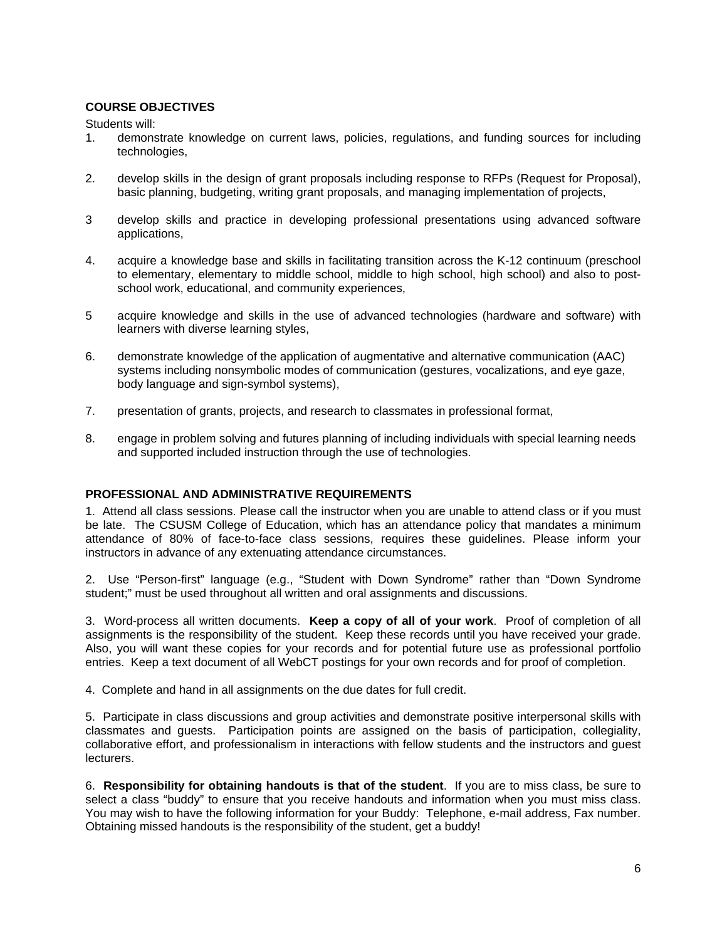# **COURSE OBJECTIVES**

Students will:

- 1. demonstrate knowledge on current laws, policies, regulations, and funding sources for including technologies,
- 2. develop skills in the design of grant proposals including response to RFPs (Request for Proposal), basic planning, budgeting, writing grant proposals, and managing implementation of projects,
- 3 develop skills and practice in developing professional presentations using advanced software applications,
- 4. acquire a knowledge base and skills in facilitating transition across the K-12 continuum (preschool to elementary, elementary to middle school, middle to high school, high school) and also to postschool work, educational, and community experiences,
- 5 acquire knowledge and skills in the use of advanced technologies (hardware and software) with learners with diverse learning styles,
- 6. demonstrate knowledge of the application of augmentative and alternative communication (AAC) systems including nonsymbolic modes of communication (gestures, vocalizations, and eye gaze, body language and sign-symbol systems),
- 7. presentation of grants, projects, and research to classmates in professional format,
- 8. engage in problem solving and futures planning of including individuals with special learning needs and supported included instruction through the use of technologies.

# **PROFESSIONAL AND ADMINISTRATIVE REQUIREMENTS**

1. Attend all class sessions. Please call the instructor when you are unable to attend class or if you must be late. The CSUSM College of Education, which has an attendance policy that mandates a minimum attendance of 80% of face-to-face class sessions, requires these guidelines. Please inform your instructors in advance of any extenuating attendance circumstances.

2. Use "Person-first" language (e.g., "Student with Down Syndrome" rather than "Down Syndrome student;" must be used throughout all written and oral assignments and discussions.

3. Word-process all written documents. **Keep a copy of all of your work**. Proof of completion of all assignments is the responsibility of the student. Keep these records until you have received your grade. Also, you will want these copies for your records and for potential future use as professional portfolio entries. Keep a text document of all WebCT postings for your own records and for proof of completion.

4. Complete and hand in all assignments on the due dates for full credit.

5. Participate in class discussions and group activities and demonstrate positive interpersonal skills with classmates and guests. Participation points are assigned on the basis of participation, collegiality, collaborative effort, and professionalism in interactions with fellow students and the instructors and guest lecturers.

6. **Responsibility for obtaining handouts is that of the student**. If you are to miss class, be sure to select a class "buddy" to ensure that you receive handouts and information when you must miss class. You may wish to have the following information for your Buddy: Telephone, e-mail address, Fax number. Obtaining missed handouts is the responsibility of the student, get a buddy!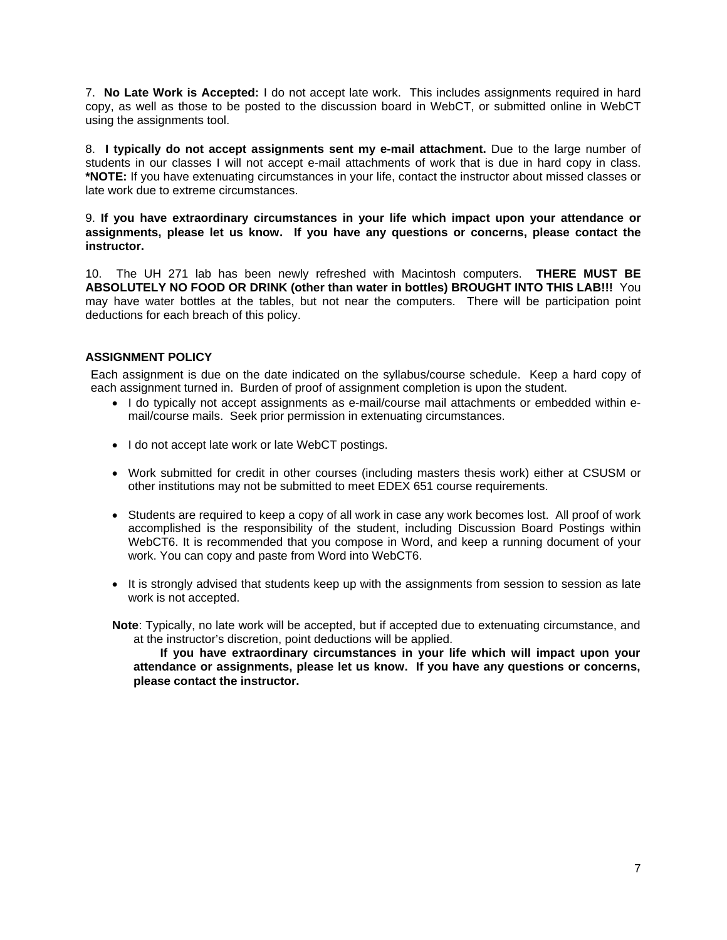7. **No Late Work is Accepted:** I do not accept late work. This includes assignments required in hard copy, as well as those to be posted to the discussion board in WebCT, or submitted online in WebCT using the assignments tool.

8. **I typically do not accept assignments sent my e-mail attachment.** Due to the large number of students in our classes I will not accept e-mail attachments of work that is due in hard copy in class. **\*NOTE:** If you have extenuating circumstances in your life, contact the instructor about missed classes or late work due to extreme circumstances.

#### 9. **If you have extraordinary circumstances in your life which impact upon your attendance or assignments, please let us know. If you have any questions or concerns, please contact the instructor.**

10. The UH 271 lab has been newly refreshed with Macintosh computers. **THERE MUST BE ABSOLUTELY NO FOOD OR DRINK (other than water in bottles) BROUGHT INTO THIS LAB!!!** You may have water bottles at the tables, but not near the computers. There will be participation point deductions for each breach of this policy.

# **ASSIGNMENT POLICY**

Each assignment is due on the date indicated on the syllabus/course schedule. Keep a hard copy of each assignment turned in. Burden of proof of assignment completion is upon the student.

- I do typically not accept assignments as e-mail/course mail attachments or embedded within email/course mails. Seek prior permission in extenuating circumstances.
- I do not accept late work or late WebCT postings.
- Work submitted for credit in other courses (including masters thesis work) either at CSUSM or other institutions may not be submitted to meet EDEX 651 course requirements.
- Students are required to keep a copy of all work in case any work becomes lost. All proof of work accomplished is the responsibility of the student, including Discussion Board Postings within WebCT6. It is recommended that you compose in Word, and keep a running document of your work. You can copy and paste from Word into WebCT6.
- It is strongly advised that students keep up with the assignments from session to session as late work is not accepted.

**Note**: Typically, no late work will be accepted, but if accepted due to extenuating circumstance, and at the instructor's discretion, point deductions will be applied.

 **attendance or assignments, please let us know. If you have any questions or concerns, If you have extraordinary circumstances in your life which will impact upon your please contact the instructor.**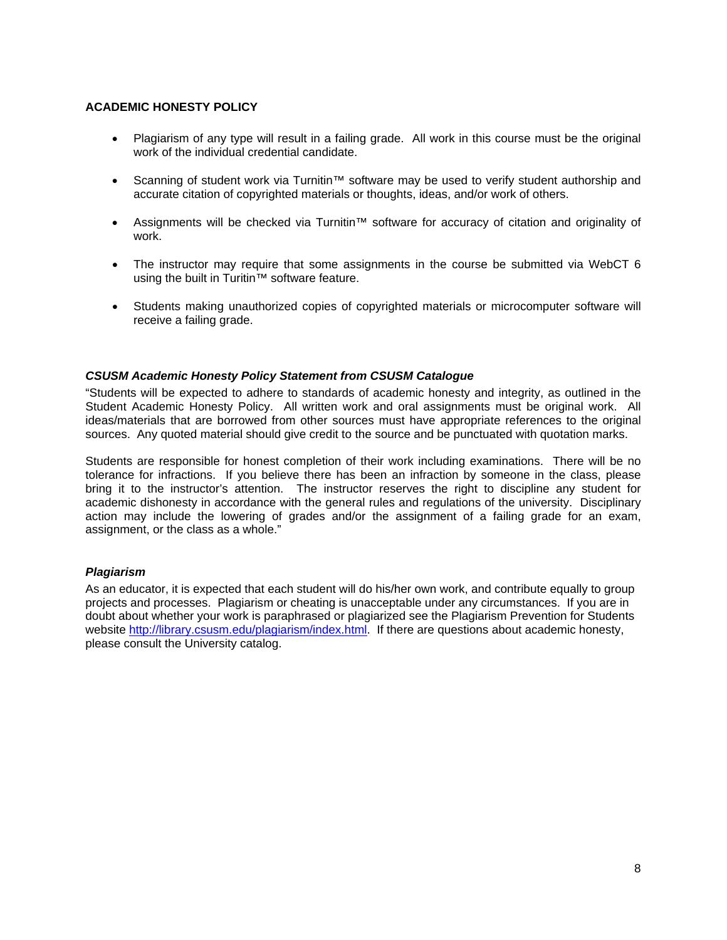# **ACADEMIC HONESTY POLICY**

- Plagiarism of any type will result in a failing grade. All work in this course must be the original work of the individual credential candidate.
- • Scanning of student work via Turnitin™ software may be used to verify student authorship and accurate citation of copyrighted materials or thoughts, ideas, and/or work of others.
- • Assignments will be checked via Turnitin™ software for accuracy of citation and originality of work.
- The instructor may require that some assignments in the course be submitted via WebCT 6 using the built in Turitin™ software feature.
- Students making unauthorized copies of copyrighted materials or microcomputer software will receive a failing grade.

# *CSUSM Academic Honesty Policy Statement from CSUSM Catalogue*

"Students will be expected to adhere to standards of academic honesty and integrity, as outlined in the Student Academic Honesty Policy. All written work and oral assignments must be original work. All ideas/materials that are borrowed from other sources must have appropriate references to the original sources. Any quoted material should give credit to the source and be punctuated with quotation marks.

Students are responsible for honest completion of their work including examinations. There will be no tolerance for infractions. If you believe there has been an infraction by someone in the class, please bring it to the instructor's attention. The instructor reserves the right to discipline any student for academic dishonesty in accordance with the general rules and regulations of the university. Disciplinary action may include the lowering of grades and/or the assignment of a failing grade for an exam, assignment, or the class as a whole."

#### *Plagiarism*

As an educator, it is expected that each student will do his/her own work, and contribute equally to group projects and processes. Plagiarism or cheating is unacceptable under any circumstances. If you are in doubt about whether your work is paraphrased or plagiarized see the Plagiarism Prevention for Students website http://library.csusm.edu/plagiarism/index.html. If there are questions about academic honesty, please consult the University catalog.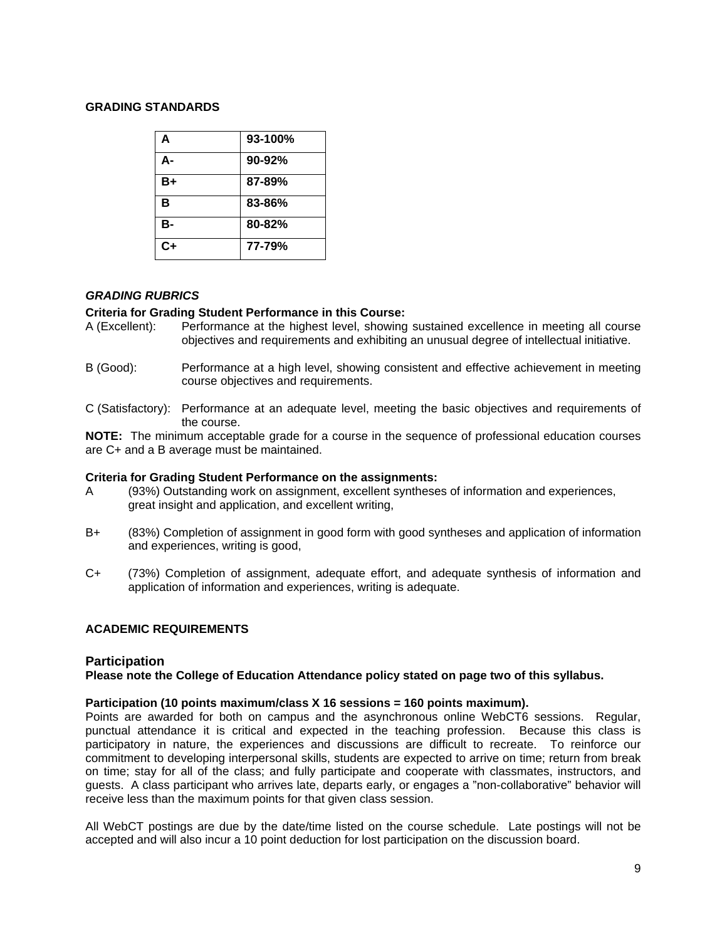### **GRADING STANDARDS**

| A         | 93-100%    |
|-----------|------------|
| А-        | $90 - 92%$ |
| B+        | 87-89%     |
| в         | 83-86%     |
| <b>B-</b> | 80-82%     |
| $C+$      | 77-79%     |

# *GRADING RUBRICS*

# **Criteria for Grading Student Performance in this Course:**

- A (Excellent): Performance at the highest level, showing sustained excellence in meeting all course objectives and requirements and exhibiting an unusual degree of intellectual initiative.
- B (Good): Performance at a high level, showing consistent and effective achievement in meeting course objectives and requirements.
- C (Satisfactory): Performance at an adequate level, meeting the basic objectives and requirements of the course.

**NOTE:** The minimum acceptable grade for a course in the sequence of professional education courses are C+ and a B average must be maintained.

#### **Criteria for Grading Student Performance on the assignments:**

- A (93%) Outstanding work on assignment, excellent syntheses of information and experiences, great insight and application, and excellent writing,
- B+ (83%) Completion of assignment in good form with good syntheses and application of information and experiences, writing is good,
- C+ (73%) Completion of assignment, adequate effort, and adequate synthesis of information and application of information and experiences, writing is adequate.

# **ACADEMIC REQUIREMENTS**

# **Participation**

#### **Please note the College of Education Attendance policy stated on page two of this syllabus.**

#### **Participation (10 points maximum/class X 16 sessions = 160 points maximum).**

Points are awarded for both on campus and the asynchronous online WebCT6 sessions. Regular, punctual attendance it is critical and expected in the teaching profession. Because this class is participatory in nature, the experiences and discussions are difficult to recreate. To reinforce our commitment to developing interpersonal skills, students are expected to arrive on time; return from break on time; stay for all of the class; and fully participate and cooperate with classmates, instructors, and guests. A class participant who arrives late, departs early, or engages a "non-collaborative" behavior will receive less than the maximum points for that given class session.

All WebCT postings are due by the date/time listed on the course schedule. Late postings will not be accepted and will also incur a 10 point deduction for lost participation on the discussion board.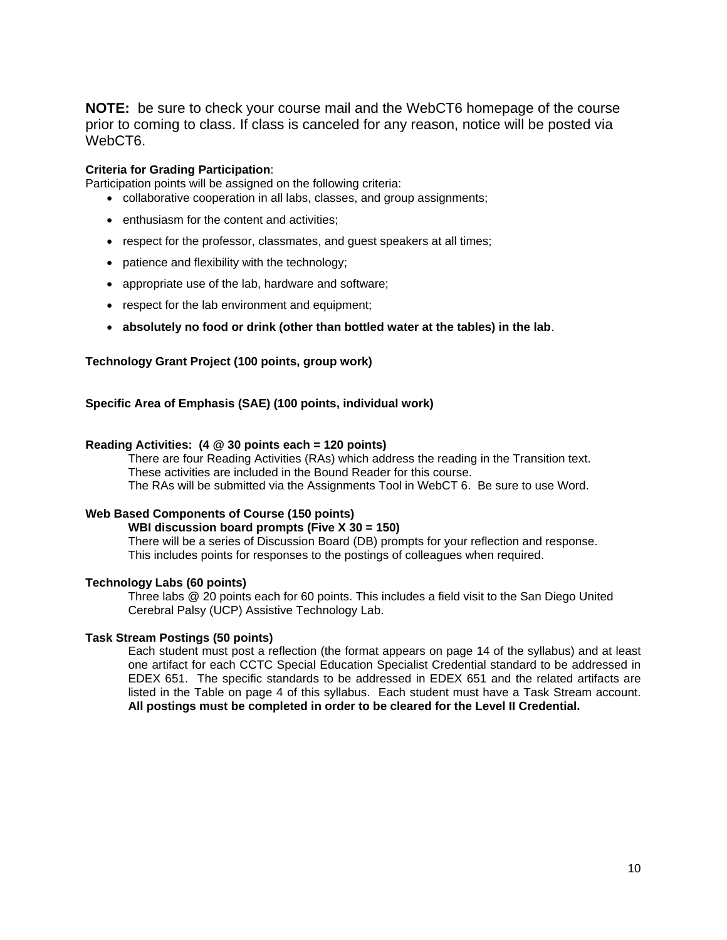**NOTE:** be sure to check your course mail and the WebCT6 homepage of the course prior to coming to class. If class is canceled for any reason, notice will be posted via WebCT6.

#### **Criteria for Grading Participation**:

Participation points will be assigned on the following criteria:

- collaborative cooperation in all labs, classes, and group assignments;
- enthusiasm for the content and activities:
- respect for the professor, classmates, and guest speakers at all times;
- patience and flexibility with the technology;
- appropriate use of the lab, hardware and software;
- respect for the lab environment and equipment;
- **absolutely no food or drink (other than bottled water at the tables) in the lab**.

#### **Technology Grant Project (100 points, group work)**

#### **Specific Area of Emphasis (SAE) (100 points, individual work)**

#### **Reading Activities: (4 @ 30 points each = 120 points)**

These activities are included in the Bound Reader for this course. There are four Reading Activities (RAs) which address the reading in the Transition text. The RAs will be submitted via the Assignments Tool in WebCT 6. Be sure to use Word.

#### **Web Based Components of Course (150 points)**

**WBI discussion board prompts (Five X 30 = 150)** 

There will be a series of Discussion Board (DB) prompts for your reflection and response. This includes points for responses to the postings of colleagues when required.

# **Technology Labs (60 points)**

Three labs @ 20 points each for 60 points. This includes a field visit to the San Diego United Cerebral Palsy (UCP) Assistive Technology Lab.

#### **Task Stream Postings (50 points)**

 **All postings must be completed in order to be cleared for the Level II Credential.** Each student must post a reflection (the format appears on page 14 of the syllabus) and at least one artifact for each CCTC Special Education Specialist Credential standard to be addressed in EDEX 651. The specific standards to be addressed in EDEX 651 and the related artifacts are listed in the Table on page 4 of this syllabus. Each student must have a Task Stream account.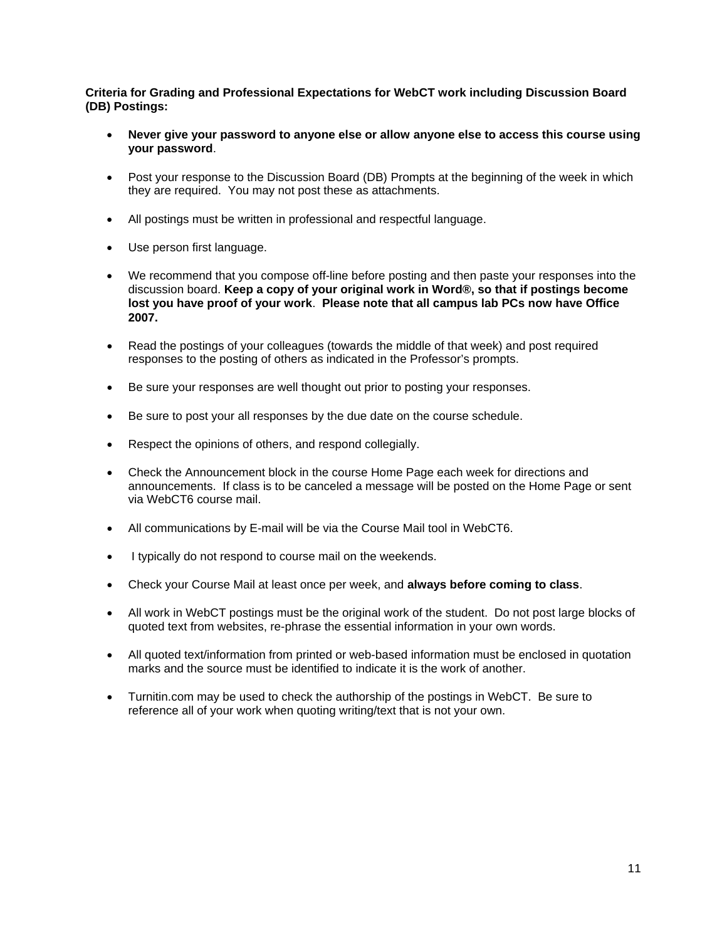**Criteria for Grading and Professional Expectations for WebCT work including Discussion Board (DB) Postings:** 

- Never give your password to anyone else or allow anyone else to access this course using **your password**.
- Post your response to the Discussion Board (DB) Prompts at the beginning of the week in which they are required. You may not post these as attachments.
- All postings must be written in professional and respectful language.
- Use person first language.
- We recommend that you compose off-line before posting and then paste your responses into the discussion board. **Keep a copy of your original work in Word®, so that if postings become lost you have proof of your work**. **Please note that all campus lab PCs now have Office 2007.**
- Read the postings of your colleagues (towards the middle of that week) and post required responses to the posting of others as indicated in the Professor's prompts.
- Be sure your responses are well thought out prior to posting your responses.
- Be sure to post your all responses by the due date on the course schedule.
- Respect the opinions of others, and respond collegially.
- Check the Announcement block in the course Home Page each week for directions and announcements. If class is to be canceled a message will be posted on the Home Page or sent via WebCT6 course mail.
- All communications by E-mail will be via the Course Mail tool in WebCT6.
- I typically do not respond to course mail on the weekends.
- • Check your Course Mail at least once per week, and **always before coming to class**.
- All work in WebCT postings must be the original work of the student. Do not post large blocks of quoted text from websites, re-phrase the essential information in your own words.
- All quoted text/information from printed or web-based information must be enclosed in quotation marks and the source must be identified to indicate it is the work of another.
- Turnitin.com may be used to check the authorship of the postings in WebCT. Be sure to reference all of your work when quoting writing/text that is not your own.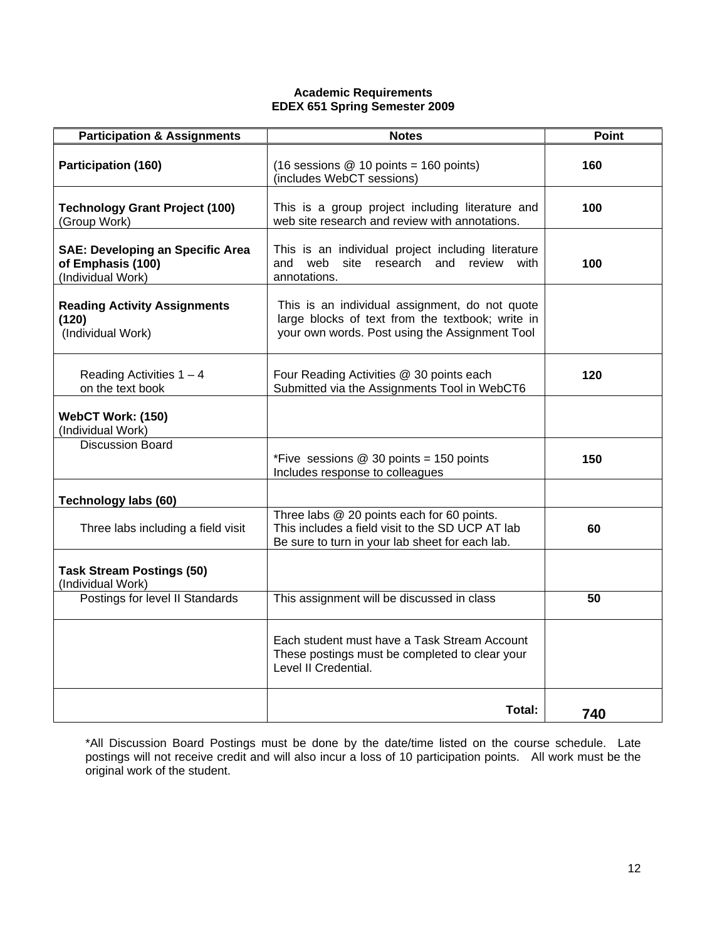### **Academic Requirements EDEX 651 Spring Semester 2009**

| <b>Participation &amp; Assignments</b>                                            | <b>Notes</b>                                                                                                                                         | <b>Point</b> |
|-----------------------------------------------------------------------------------|------------------------------------------------------------------------------------------------------------------------------------------------------|--------------|
| Participation (160)                                                               | $(16$ sessions @ 10 points = 160 points)<br>(includes WebCT sessions)                                                                                | 160          |
| <b>Technology Grant Project (100)</b><br>(Group Work)                             | This is a group project including literature and<br>web site research and review with annotations.                                                   | 100          |
| <b>SAE: Developing an Specific Area</b><br>of Emphasis (100)<br>(Individual Work) | This is an individual project including literature<br>site research and review with<br>and web<br>annotations.                                       | 100          |
| <b>Reading Activity Assignments</b><br>(120)<br>(Individual Work)                 | This is an individual assignment, do not quote<br>large blocks of text from the textbook; write in<br>your own words. Post using the Assignment Tool |              |
| Reading Activities $1 - 4$<br>on the text book                                    | Four Reading Activities @ 30 points each<br>Submitted via the Assignments Tool in WebCT6                                                             | 120          |
| WebCT Work: (150)<br>(Individual Work)                                            |                                                                                                                                                      |              |
| <b>Discussion Board</b>                                                           | *Five sessions $@$ 30 points = 150 points<br>Includes response to colleagues                                                                         | 150          |
| Technology labs (60)                                                              |                                                                                                                                                      |              |
| Three labs including a field visit                                                | Three labs @ 20 points each for 60 points.<br>This includes a field visit to the SD UCP AT lab<br>Be sure to turn in your lab sheet for each lab.    | 60           |
| <b>Task Stream Postings (50)</b><br>(Individual Work)                             |                                                                                                                                                      |              |
| Postings for level II Standards                                                   | This assignment will be discussed in class                                                                                                           | 50           |
|                                                                                   | Each student must have a Task Stream Account<br>These postings must be completed to clear your<br>Level II Credential.                               |              |
|                                                                                   | Total:                                                                                                                                               | 740          |

\*All Discussion Board Postings must be done by the date/time listed on the course schedule. Late postings will not receive credit and will also incur a loss of 10 participation points. All work must be the original work of the student.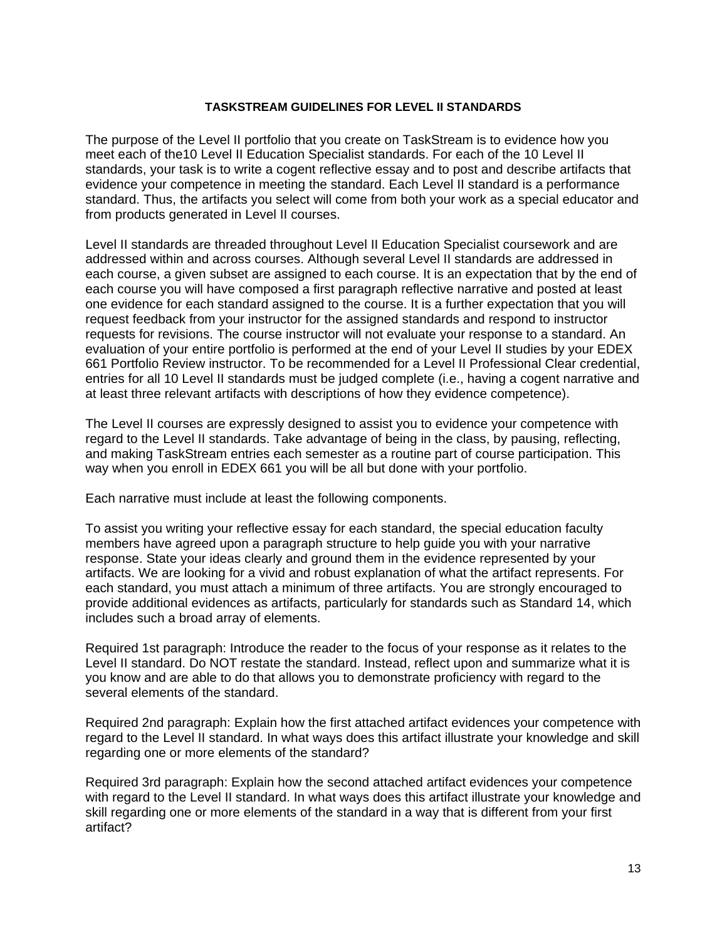# **TASKSTREAM GUIDELINES FOR LEVEL II STANDARDS**

The purpose of the Level II portfolio that you create on TaskStream is to evidence how you meet each of the10 Level II Education Specialist standards. For each of the 10 Level II standards, your task is to write a cogent reflective essay and to post and describe artifacts that evidence your competence in meeting the standard. Each Level II standard is a performance standard. Thus, the artifacts you select will come from both your work as a special educator and from products generated in Level II courses.

Level II standards are threaded throughout Level II Education Specialist coursework and are addressed within and across courses. Although several Level II standards are addressed in each course, a given subset are assigned to each course. It is an expectation that by the end of each course you will have composed a first paragraph reflective narrative and posted at least one evidence for each standard assigned to the course. It is a further expectation that you will request feedback from your instructor for the assigned standards and respond to instructor requests for revisions. The course instructor will not evaluate your response to a standard. An evaluation of your entire portfolio is performed at the end of your Level II studies by your EDEX 661 Portfolio Review instructor. To be recommended for a Level II Professional Clear credential, entries for all 10 Level II standards must be judged complete (i.e., having a cogent narrative and at least three relevant artifacts with descriptions of how they evidence competence).

The Level II courses are expressly designed to assist you to evidence your competence with regard to the Level II standards. Take advantage of being in the class, by pausing, reflecting, and making TaskStream entries each semester as a routine part of course participation. This way when you enroll in EDEX 661 you will be all but done with your portfolio.

Each narrative must include at least the following components.

To assist you writing your reflective essay for each standard, the special education faculty members have agreed upon a paragraph structure to help guide you with your narrative response. State your ideas clearly and ground them in the evidence represented by your artifacts. We are looking for a vivid and robust explanation of what the artifact represents. For each standard, you must attach a minimum of three artifacts. You are strongly encouraged to provide additional evidences as artifacts, particularly for standards such as Standard 14, which includes such a broad array of elements.

Required 1st paragraph: Introduce the reader to the focus of your response as it relates to the Level II standard. Do NOT restate the standard. Instead, reflect upon and summarize what it is you know and are able to do that allows you to demonstrate proficiency with regard to the several elements of the standard.

Required 2nd paragraph: Explain how the first attached artifact evidences your competence with regard to the Level II standard. In what ways does this artifact illustrate your knowledge and skill regarding one or more elements of the standard?

Required 3rd paragraph: Explain how the second attached artifact evidences your competence with regard to the Level II standard. In what ways does this artifact illustrate your knowledge and skill regarding one or more elements of the standard in a way that is different from your first artifact?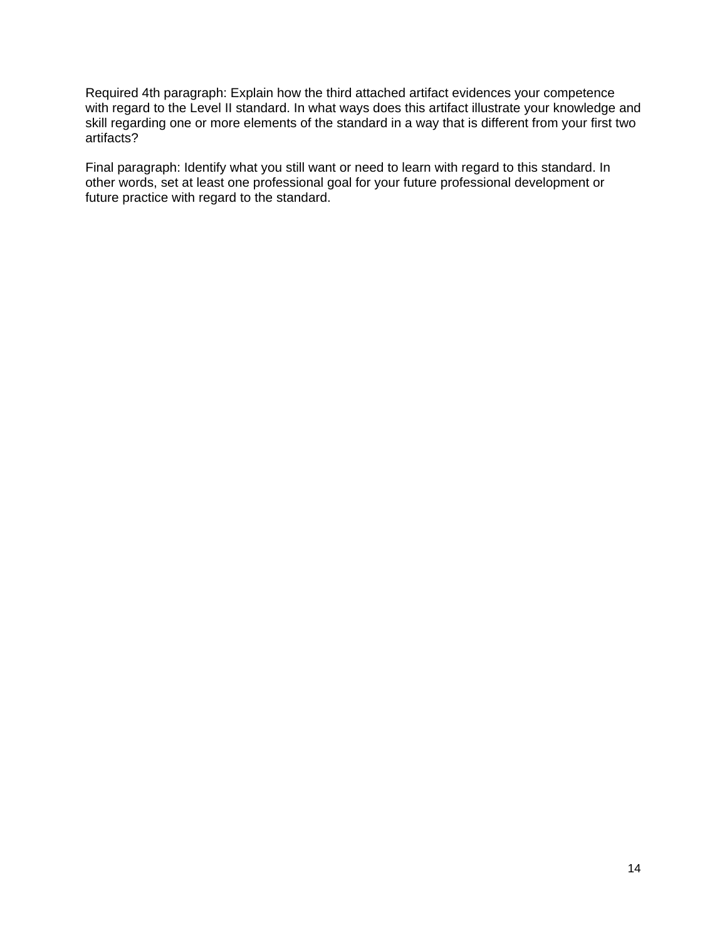Required 4th paragraph: Explain how the third attached artifact evidences your competence with regard to the Level II standard. In what ways does this artifact illustrate your knowledge and skill regarding one or more elements of the standard in a way that is different from your first two artifacts?

Final paragraph: Identify what you still want or need to learn with regard to this standard. In other words, set at least one professional goal for your future professional development or future practice with regard to the standard.